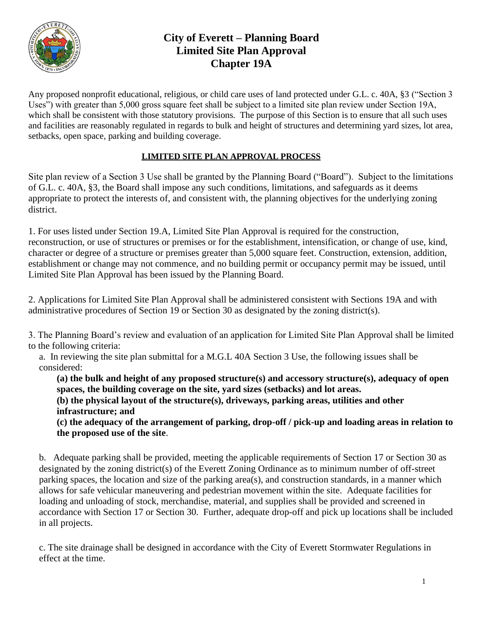

# **City of Everett – Planning Board Limited Site Plan Approval Chapter 19A**

Any proposed nonprofit educational, religious, or child care uses of land protected under G.L. c. 40A, §3 ("Section 3 Uses") with greater than 5,000 gross square feet shall be subject to a limited site plan review under Section 19A, which shall be consistent with those statutory provisions. The purpose of this Section is to ensure that all such uses and facilities are reasonably regulated in regards to bulk and height of structures and determining yard sizes, lot area, setbacks, open space, parking and building coverage.

# **LIMITED SITE PLAN APPROVAL PROCESS**

Site plan review of a Section 3 Use shall be granted by the Planning Board ("Board"). Subject to the limitations of G.L. c. 40A, §3, the Board shall impose any such conditions, limitations, and safeguards as it deems appropriate to protect the interests of, and consistent with, the planning objectives for the underlying zoning district.

1. For uses listed under Section 19.A, Limited Site Plan Approval is required for the construction, reconstruction, or use of structures or premises or for the establishment, intensification, or change of use, kind, character or degree of a structure or premises greater than 5,000 square feet. Construction, extension, addition, establishment or change may not commence, and no building permit or occupancy permit may be issued, until Limited Site Plan Approval has been issued by the Planning Board.

2. Applications for Limited Site Plan Approval shall be administered consistent with Sections 19A and with administrative procedures of Section 19 or Section 30 as designated by the zoning district(s).

3. The Planning Board's review and evaluation of an application for Limited Site Plan Approval shall be limited to the following criteria:

a. In reviewing the site plan submittal for a M.G.L 40A Section 3 Use, the following issues shall be considered:

**(a) the bulk and height of any proposed structure(s) and accessory structure(s), adequacy of open spaces, the building coverage on the site, yard sizes (setbacks) and lot areas.**

**(b) the physical layout of the structure(s), driveways, parking areas, utilities and other infrastructure; and**

**(c) the adequacy of the arrangement of parking, drop-off / pick-up and loading areas in relation to the proposed use of the site**.

b. Adequate parking shall be provided, meeting the applicable requirements of Section 17 or Section 30 as designated by the zoning district(s) of the Everett Zoning Ordinance as to minimum number of off-street parking spaces, the location and size of the parking area(s), and construction standards, in a manner which allows for safe vehicular maneuvering and pedestrian movement within the site. Adequate facilities for loading and unloading of stock, merchandise, material, and supplies shall be provided and screened in accordance with Section 17 or Section 30. Further, adequate drop-off and pick up locations shall be included in all projects.

c. The site drainage shall be designed in accordance with the City of Everett Stormwater Regulations in effect at the time.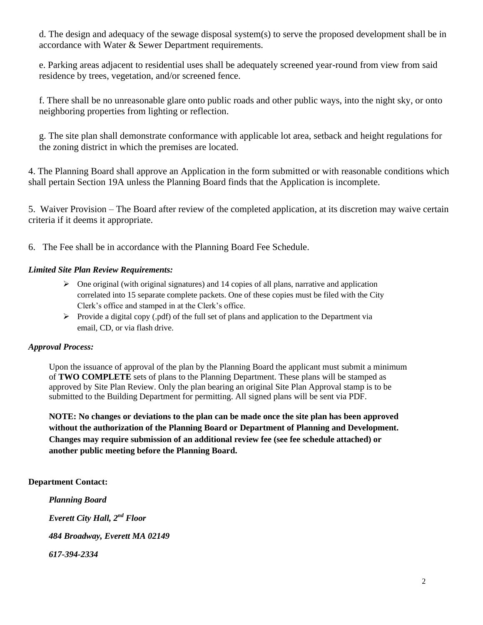d. The design and adequacy of the sewage disposal system(s) to serve the proposed development shall be in accordance with Water & Sewer Department requirements.

e. Parking areas adjacent to residential uses shall be adequately screened year-round from view from said residence by trees, vegetation, and/or screened fence.

f. There shall be no unreasonable glare onto public roads and other public ways, into the night sky, or onto neighboring properties from lighting or reflection.

g. The site plan shall demonstrate conformance with applicable lot area, setback and height regulations for the zoning district in which the premises are located.

4. The Planning Board shall approve an Application in the form submitted or with reasonable conditions which shall pertain Section 19A unless the Planning Board finds that the Application is incomplete.

5. Waiver Provision – The Board after review of the completed application, at its discretion may waive certain criteria if it deems it appropriate.

6. The Fee shall be in accordance with the Planning Board Fee Schedule.

## *Limited Site Plan Review Requirements:*

- $\triangleright$  One original (with original signatures) and 14 copies of all plans, narrative and application correlated into 15 separate complete packets. One of these copies must be filed with the City Clerk's office and stamped in at the Clerk's office.
- $\triangleright$  Provide a digital copy (.pdf) of the full set of plans and application to the Department via email, CD, or via flash drive.

## *Approval Process:*

Upon the issuance of approval of the plan by the Planning Board the applicant must submit a minimum of **TWO COMPLETE** sets of plans to the Planning Department. These plans will be stamped as approved by Site Plan Review. Only the plan bearing an original Site Plan Approval stamp is to be submitted to the Building Department for permitting. All signed plans will be sent via PDF.

**NOTE: No changes or deviations to the plan can be made once the site plan has been approved without the authorization of the Planning Board or Department of Planning and Development. Changes may require submission of an additional review fee (see fee schedule attached) or another public meeting before the Planning Board.**

## **Department Contact:**

*Planning Board Everett City Hall, 2nd Floor 484 Broadway, Everett MA 02149 617-394-2334*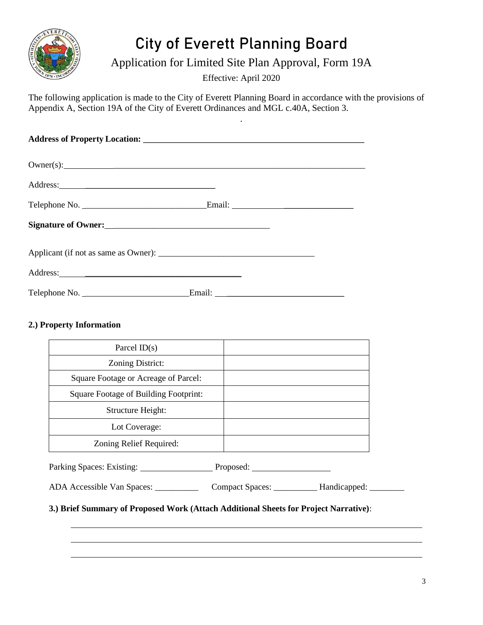

# City of Everett Planning Board

Application for Limited Site Plan Approval, Form 19A

Effective: April 2020

.

The following application is made to the City of Everett Planning Board in accordance with the provisions of Appendix A, Section 19A of the City of Everett Ordinances and MGL c.40A, Section 3.

| Address: 2008. Contract of the contract of the contract of the contract of the contract of the contract of the contract of the contract of the contract of the contract of the contract of the contract of the contract of the |  |  |  |
|--------------------------------------------------------------------------------------------------------------------------------------------------------------------------------------------------------------------------------|--|--|--|
|                                                                                                                                                                                                                                |  |  |  |

# **2.) Property Information**

| Parcel $ID(s)$                        |  |
|---------------------------------------|--|
| Zoning District:                      |  |
| Square Footage or Acreage of Parcel:  |  |
| Square Footage of Building Footprint: |  |
| Structure Height:                     |  |
| Lot Coverage:                         |  |
| Zoning Relief Required:               |  |

Parking Spaces: Existing: Proposed: Proposed:

ADA Accessible Van Spaces: \_\_\_\_\_\_\_\_\_\_\_\_\_ Compact Spaces: \_\_\_\_\_\_\_\_\_\_\_ Handicapped: \_\_\_\_\_\_\_\_\_

**3.) Brief Summary of Proposed Work (Attach Additional Sheets for Project Narrative)**: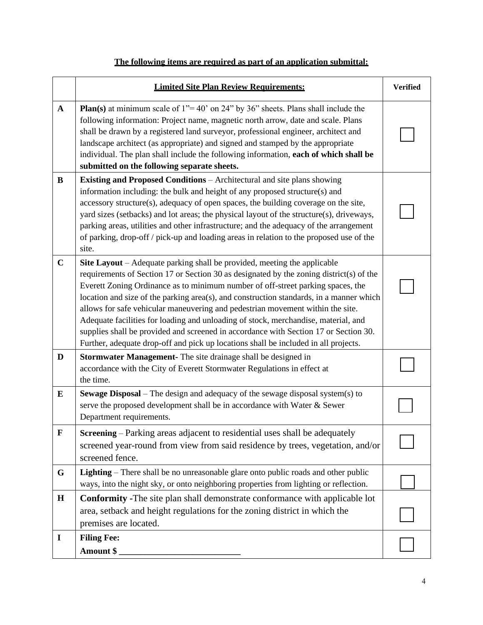# **The following items are required as part of an application submittal:**

|              | <b>Limited Site Plan Review Requirements:</b>                                                                                                                                                                                                                                                                                                                                                                                                                                                                                                                                                                                                                                                            |  |
|--------------|----------------------------------------------------------------------------------------------------------------------------------------------------------------------------------------------------------------------------------------------------------------------------------------------------------------------------------------------------------------------------------------------------------------------------------------------------------------------------------------------------------------------------------------------------------------------------------------------------------------------------------------------------------------------------------------------------------|--|
| $\mathbf{A}$ | <b>Plan(s)</b> at minimum scale of $1" = 40'$ on 24" by 36" sheets. Plans shall include the<br>following information: Project name, magnetic north arrow, date and scale. Plans<br>shall be drawn by a registered land surveyor, professional engineer, architect and<br>landscape architect (as appropriate) and signed and stamped by the appropriate<br>individual. The plan shall include the following information, each of which shall be<br>submitted on the following separate sheets.                                                                                                                                                                                                           |  |
| B            | <b>Existing and Proposed Conditions</b> – Architectural and site plans showing<br>information including: the bulk and height of any proposed structure(s) and<br>accessory structure(s), adequacy of open spaces, the building coverage on the site,<br>yard sizes (setbacks) and lot areas; the physical layout of the structure(s), driveways,<br>parking areas, utilities and other infrastructure; and the adequacy of the arrangement<br>of parking, drop-off / pick-up and loading areas in relation to the proposed use of the<br>site.                                                                                                                                                           |  |
| $\mathbf C$  | Site Layout – Adequate parking shall be provided, meeting the applicable<br>requirements of Section 17 or Section 30 as designated by the zoning district(s) of the<br>Everett Zoning Ordinance as to minimum number of off-street parking spaces, the<br>location and size of the parking area(s), and construction standards, in a manner which<br>allows for safe vehicular maneuvering and pedestrian movement within the site.<br>Adequate facilities for loading and unloading of stock, merchandise, material, and<br>supplies shall be provided and screened in accordance with Section 17 or Section 30.<br>Further, adequate drop-off and pick up locations shall be included in all projects. |  |
| D            | <b>Stormwater Management-</b> The site drainage shall be designed in<br>accordance with the City of Everett Stormwater Regulations in effect at<br>the time.                                                                                                                                                                                                                                                                                                                                                                                                                                                                                                                                             |  |
| ${\bf E}$    | <b>Sewage Disposal</b> – The design and adequacy of the sewage disposal system(s) to<br>serve the proposed development shall be in accordance with Water & Sewer<br>Department requirements.                                                                                                                                                                                                                                                                                                                                                                                                                                                                                                             |  |
| $\mathbf F$  | Screening – Parking areas adjacent to residential uses shall be adequately<br>screened year-round from view from said residence by trees, vegetation, and/or<br>screened fence.                                                                                                                                                                                                                                                                                                                                                                                                                                                                                                                          |  |
| G            | <b>Lighting</b> – There shall be no unreasonable glare onto public roads and other public<br>ways, into the night sky, or onto neighboring properties from lighting or reflection.                                                                                                                                                                                                                                                                                                                                                                                                                                                                                                                       |  |
| H            | <b>Conformity -The site plan shall demonstrate conformance with applicable lot</b><br>area, setback and height regulations for the zoning district in which the<br>premises are located.                                                                                                                                                                                                                                                                                                                                                                                                                                                                                                                 |  |
| $\mathbf I$  | <b>Filing Fee:</b><br>Amount \$                                                                                                                                                                                                                                                                                                                                                                                                                                                                                                                                                                                                                                                                          |  |